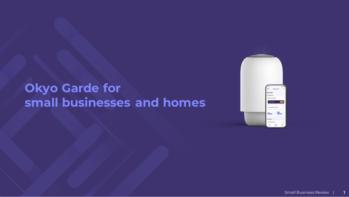# **Okyo Garde for small businesses and homes**

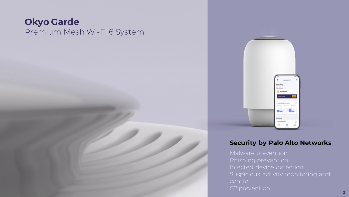## **Okyo Garde** Premium Mesh Wi-Fi 6 System



### **Security by Palo Alto Networks**

C2 prevention **2**2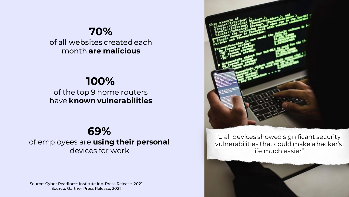# **70%**

of all websites created each month **are malicious**

## **100%**

of the top 9 home routers have **known vulnerabilities**

## **6[9%](https://www.verizon.com/business/en-gb/resources/reports/dbir/)**

of employees are **using their personal**  devices for work

Source: Cyber Readiness Institute Inc. Press Release, 2021 Source: Gartner Press Release, 2021

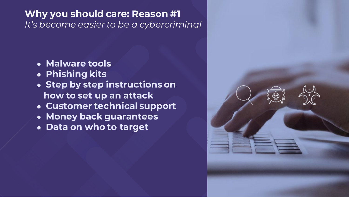#### WHY **you should care:** Reason #1 **Why you should care: Reason #1** *It's become easier to be a cybercriminal*

- **Malware tools**
- **Phishing kits**
- **Step by step instructions on how to set up an attack**
- **Customer technical support**
- **Money back guarantees**
- **Data on who to target**

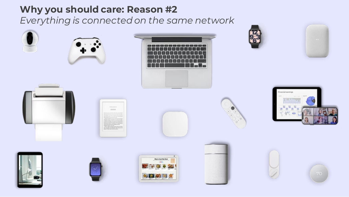## **Why you should care: Reason #2**

*Everything is connected on the same network*

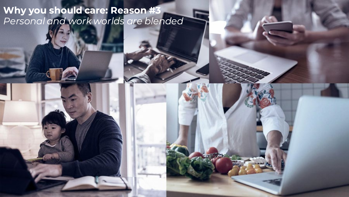**Why you should care: Reason #3** *Personal and work worlds are blended*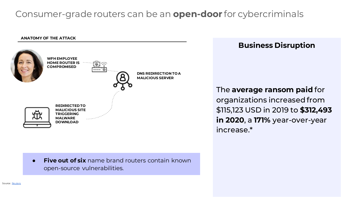## Consumer-grade routers can be an **open-door** for cybercriminals





**Five out of six** name brand routers contain known open-source vulnerabilities.

## **Business Disruption**

The **average ransom paid** for organizations increased from \$115,123 USD in 2019 to **\$312,493 in 2020**, a **171%** year-over-year increase.\*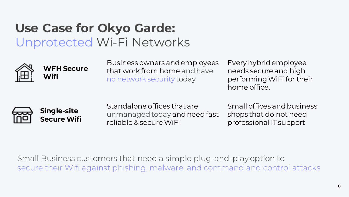# **Use Case for Okyo Garde:** Unprotected Wi-Fi Networks



## **WFH Secure Wifi**

Business owners and employees that work from home and have no network security today

Every hybrid employee needs secure and high performing WiFi for their home office.





Standalone offices that are unmanaged today and need fast reliable & secure WiFi

Small offices and business shops that do not need professional IT support

Small Business customers that need a simple plug-and-play option to secure their Wifi against phishing, malware, and command and control attacks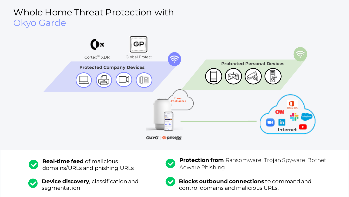## Whole Home Threat Protection with Okyo Garde



**Real-time feed** of malicious  $\checkmark$ domains/URLs and phishing URLs





**Protection from** Ransomware Trojan Spyware Botnet Adware Phishing



**Blocks outbound connections** to command and control domains and malicious URLs.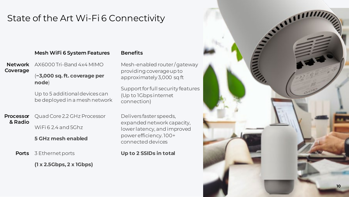## State of the Art Wi-Fi 6 Connectivity

#### **Mesh WiFi 6 System Features Benefits**

**Network Coverage** AX6000 Tri-Band 4x4 MIMO

#### (**~3,000 sq. ft. coverage per node**)

Up to 5 additional devices can be deployed in a mesh network

**Processor & Radio** Quad Core 2.2 GHz Processor WiFi 624 and 5Ghz

**5 GHz mesh enabled**

**Ports** 3 Ethernet ports

**(1 x 2.5Gbps, 2 x 1Gbps)**

Mesh-enabled router / gateway providing coverage up to approximately 3,000 sq ft

Support for full security features (Up to 1Gbps internet connection)

Delivers faster speeds, expanded network capacity, lower latency, and improved power efficiency. 100+ connected devices

**Up to 2 SSIDs in total** 

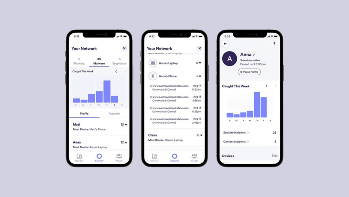

| <b>Your Network</b>                                                            | ×                  |                              |         |
|--------------------------------------------------------------------------------|--------------------|------------------------------|---------|
| kniewe aeroelenteer z is is de er antgeloege.<br>Anna's Laptop<br>Anna's Phone | 只专<br>44           |                              |         |
|                                                                                |                    | @ www.commandcontrolsite.com | Aug 14  |
|                                                                                |                    | Command & Control            | 11:30am |
| @ www.commandcontrolsite.com                                                   | Aug 13             |                              |         |
| Command & Control                                                              | 5:38am             |                              |         |
| @ www.commandcontrolsite.com                                                   | Aug 13             |                              |         |
| Command & Control                                                              | 6.36 <sub>cm</sub> |                              |         |
| @ www.commandcontrolsite.com                                                   | Aug 12             |                              |         |
| Command & Control                                                              | $2.48$ pm          |                              |         |
| Claire                                                                         | 6.w                |                              |         |
| Most Blocks: Claire's Laptop                                                   |                    |                              |         |
|                                                                                |                    |                              |         |

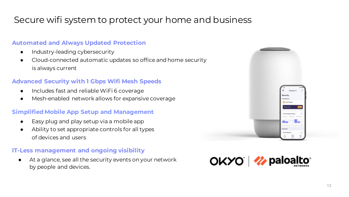## Secure wifi system to protect your home and business

#### **Automated and Always Updated Protection**

- Industry-leading cybersecurity
- Cloud-connected automatic updates so office and home security is always current

#### **Advanced Security with 1 Gbps Wifi Mesh Speeds**

- Includes fast and reliable WiFi 6 coverage
- Mesh-enabled network allows for expansive coverage

#### **Simplified Mobile App Setup and Management**

- Easy plug and play setup via a mobile app
- Ability to set appropriate controls for all types of devices and users

#### **IT-Less management and ongoing visibility**

At a glance, see all the security events on your network by people and devices.